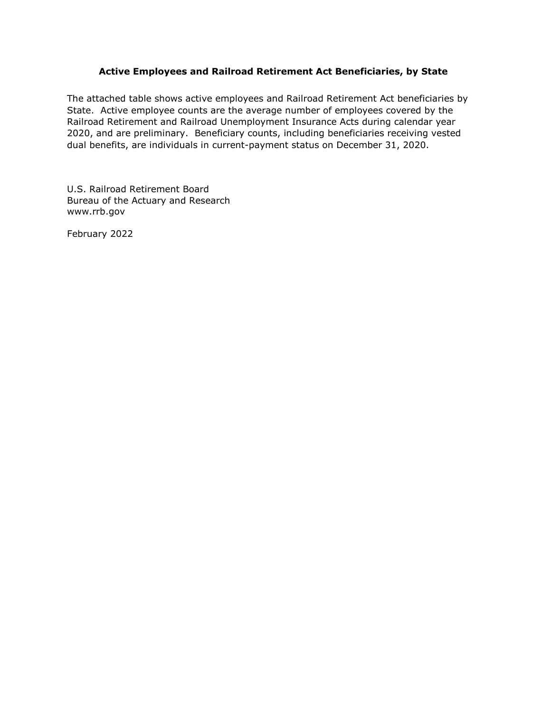## **Active Employees and Railroad Retirement Act Beneficiaries, by State**

The attached table shows active employees and Railroad Retirement Act beneficiaries by State. Active employee counts are the average number of employees covered by the Railroad Retirement and Railroad Unemployment Insurance Acts during calendar year 2020, and are preliminary. Beneficiary counts, including beneficiaries receiving vested dual benefits, are individuals in current-payment status on December 31, 2020.

U.S. Railroad Retirement Board Bureau of the Actuary and Research www.rrb.gov

February 2022